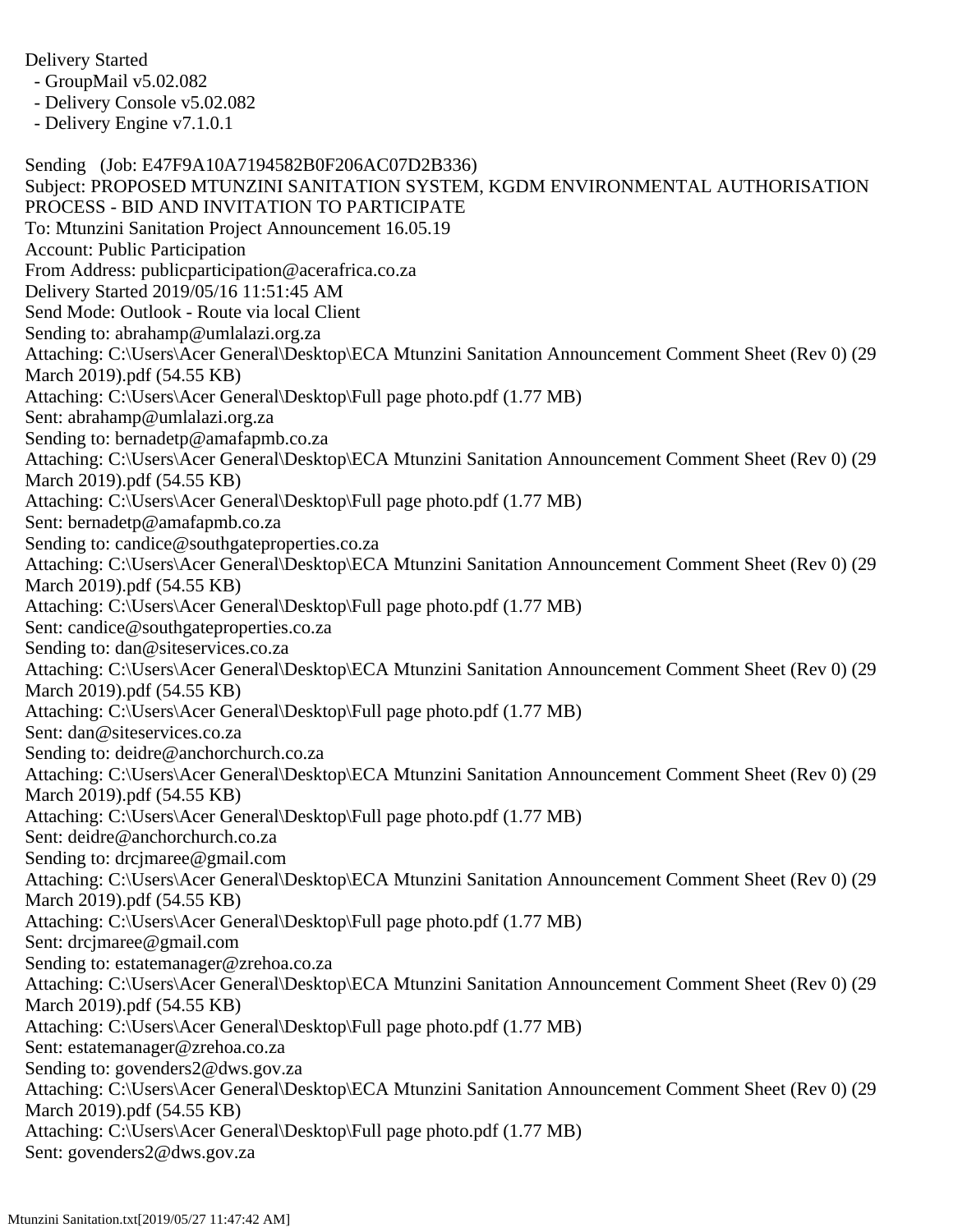Delivery Started

- GroupMail v5.02.082

- Delivery Console v5.02.082

- Delivery Engine v7.1.0.1

Sending (Job: E47F9A10A7194582B0F206AC07D2B336) Subject: PROPOSED MTUNZINI SANITATION SYSTEM, KGDM ENVIRONMENTAL AUTHORISATION PROCESS - BID AND INVITATION TO PARTICIPATE To: Mtunzini Sanitation Project Announcement 16.05.19 Account: Public Participation From Address: publicparticipation@acerafrica.co.za Delivery Started 2019/05/16 11:51:45 AM Send Mode: Outlook - Route via local Client Sending to: abrahamp@umlalazi.org.za Attaching: C:\Users\Acer General\Desktop\ECA Mtunzini Sanitation Announcement Comment Sheet (Rev 0) (29 March 2019).pdf (54.55 KB) Attaching: C:\Users\Acer General\Desktop\Full page photo.pdf (1.77 MB) Sent: abrahamp@umlalazi.org.za Sending to: bernadetp@amafapmb.co.za Attaching: C:\Users\Acer General\Desktop\ECA Mtunzini Sanitation Announcement Comment Sheet (Rev 0) (29 March 2019).pdf (54.55 KB) Attaching: C:\Users\Acer General\Desktop\Full page photo.pdf (1.77 MB) Sent: bernadetp@amafapmb.co.za Sending to: candice@southgateproperties.co.za Attaching: C:\Users\Acer General\Desktop\ECA Mtunzini Sanitation Announcement Comment Sheet (Rev 0) (29 March 2019).pdf (54.55 KB) Attaching: C:\Users\Acer General\Desktop\Full page photo.pdf (1.77 MB) Sent: candice@southgateproperties.co.za Sending to: dan@siteservices.co.za Attaching: C:\Users\Acer General\Desktop\ECA Mtunzini Sanitation Announcement Comment Sheet (Rev 0) (29 March 2019).pdf (54.55 KB) Attaching: C:\Users\Acer General\Desktop\Full page photo.pdf (1.77 MB) Sent: dan@siteservices.co.za Sending to: deidre@anchorchurch.co.za Attaching: C:\Users\Acer General\Desktop\ECA Mtunzini Sanitation Announcement Comment Sheet (Rev 0) (29 March 2019).pdf (54.55 KB) Attaching: C:\Users\Acer General\Desktop\Full page photo.pdf (1.77 MB) Sent: deidre@anchorchurch.co.za Sending to: drcjmaree@gmail.com Attaching: C:\Users\Acer General\Desktop\ECA Mtunzini Sanitation Announcement Comment Sheet (Rev 0) (29 March 2019).pdf (54.55 KB) Attaching: C:\Users\Acer General\Desktop\Full page photo.pdf (1.77 MB) Sent: drcjmaree@gmail.com Sending to: estatemanager@zrehoa.co.za Attaching: C:\Users\Acer General\Desktop\ECA Mtunzini Sanitation Announcement Comment Sheet (Rev 0) (29 March 2019).pdf (54.55 KB) Attaching: C:\Users\Acer General\Desktop\Full page photo.pdf (1.77 MB) Sent: estatemanager@zrehoa.co.za Sending to: govenders2@dws.gov.za Attaching: C:\Users\Acer General\Desktop\ECA Mtunzini Sanitation Announcement Comment Sheet (Rev 0) (29 March 2019).pdf (54.55 KB) Attaching: C:\Users\Acer General\Desktop\Full page photo.pdf (1.77 MB) Sent: govenders2@dws.gov.za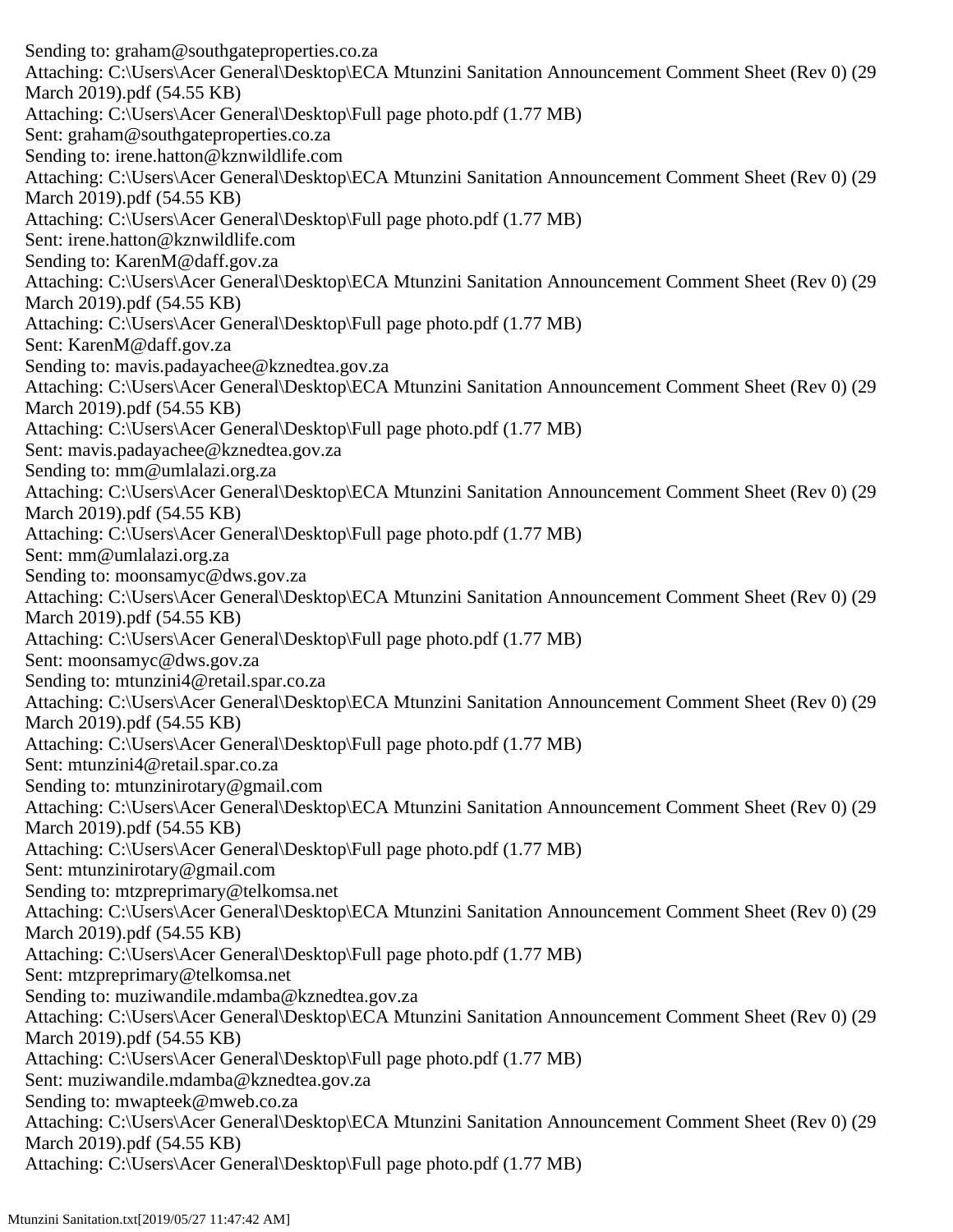Sending to: graham@southgateproperties.co.za Attaching: C:\Users\Acer General\Desktop\ECA Mtunzini Sanitation Announcement Comment Sheet (Rev 0) (29 March 2019).pdf (54.55 KB) Attaching: C:\Users\Acer General\Desktop\Full page photo.pdf (1.77 MB) Sent: graham@southgateproperties.co.za Sending to: irene.hatton@kznwildlife.com Attaching: C:\Users\Acer General\Desktop\ECA Mtunzini Sanitation Announcement Comment Sheet (Rev 0) (29 March 2019).pdf (54.55 KB) Attaching: C:\Users\Acer General\Desktop\Full page photo.pdf (1.77 MB) Sent: irene.hatton@kznwildlife.com Sending to: KarenM@daff.gov.za Attaching: C:\Users\Acer General\Desktop\ECA Mtunzini Sanitation Announcement Comment Sheet (Rev 0) (29 March 2019).pdf (54.55 KB) Attaching: C:\Users\Acer General\Desktop\Full page photo.pdf (1.77 MB) Sent: KarenM@daff.gov.za Sending to: mavis.padayachee@kznedtea.gov.za Attaching: C:\Users\Acer General\Desktop\ECA Mtunzini Sanitation Announcement Comment Sheet (Rev 0) (29 March 2019).pdf (54.55 KB) Attaching: C:\Users\Acer General\Desktop\Full page photo.pdf (1.77 MB) Sent: mavis.padayachee@kznedtea.gov.za Sending to: mm@umlalazi.org.za Attaching: C:\Users\Acer General\Desktop\ECA Mtunzini Sanitation Announcement Comment Sheet (Rev 0) (29 March 2019).pdf (54.55 KB) Attaching: C:\Users\Acer General\Desktop\Full page photo.pdf (1.77 MB) Sent: mm@umlalazi.org.za Sending to: moonsamyc@dws.gov.za Attaching: C:\Users\Acer General\Desktop\ECA Mtunzini Sanitation Announcement Comment Sheet (Rev 0) (29 March 2019).pdf (54.55 KB) Attaching: C:\Users\Acer General\Desktop\Full page photo.pdf (1.77 MB) Sent: moonsamyc@dws.gov.za Sending to: mtunzini4@retail.spar.co.za Attaching: C:\Users\Acer General\Desktop\ECA Mtunzini Sanitation Announcement Comment Sheet (Rev 0) (29 March 2019).pdf (54.55 KB) Attaching: C:\Users\Acer General\Desktop\Full page photo.pdf (1.77 MB) Sent: mtunzini4@retail.spar.co.za Sending to: mtunzinirotary@gmail.com Attaching: C:\Users\Acer General\Desktop\ECA Mtunzini Sanitation Announcement Comment Sheet (Rev 0) (29 March 2019).pdf (54.55 KB) Attaching: C:\Users\Acer General\Desktop\Full page photo.pdf (1.77 MB) Sent: mtunzinirotary@gmail.com Sending to: mtzpreprimary@telkomsa.net Attaching: C:\Users\Acer General\Desktop\ECA Mtunzini Sanitation Announcement Comment Sheet (Rev 0) (29 March 2019).pdf (54.55 KB) Attaching: C:\Users\Acer General\Desktop\Full page photo.pdf (1.77 MB) Sent: mtzpreprimary@telkomsa.net Sending to: muziwandile.mdamba@kznedtea.gov.za Attaching: C:\Users\Acer General\Desktop\ECA Mtunzini Sanitation Announcement Comment Sheet (Rev 0) (29 March 2019).pdf (54.55 KB) Attaching: C:\Users\Acer General\Desktop\Full page photo.pdf (1.77 MB) Sent: muziwandile.mdamba@kznedtea.gov.za Sending to: mwapteek@mweb.co.za Attaching: C:\Users\Acer General\Desktop\ECA Mtunzini Sanitation Announcement Comment Sheet (Rev 0) (29 March 2019).pdf (54.55 KB) Attaching: C:\Users\Acer General\Desktop\Full page photo.pdf (1.77 MB)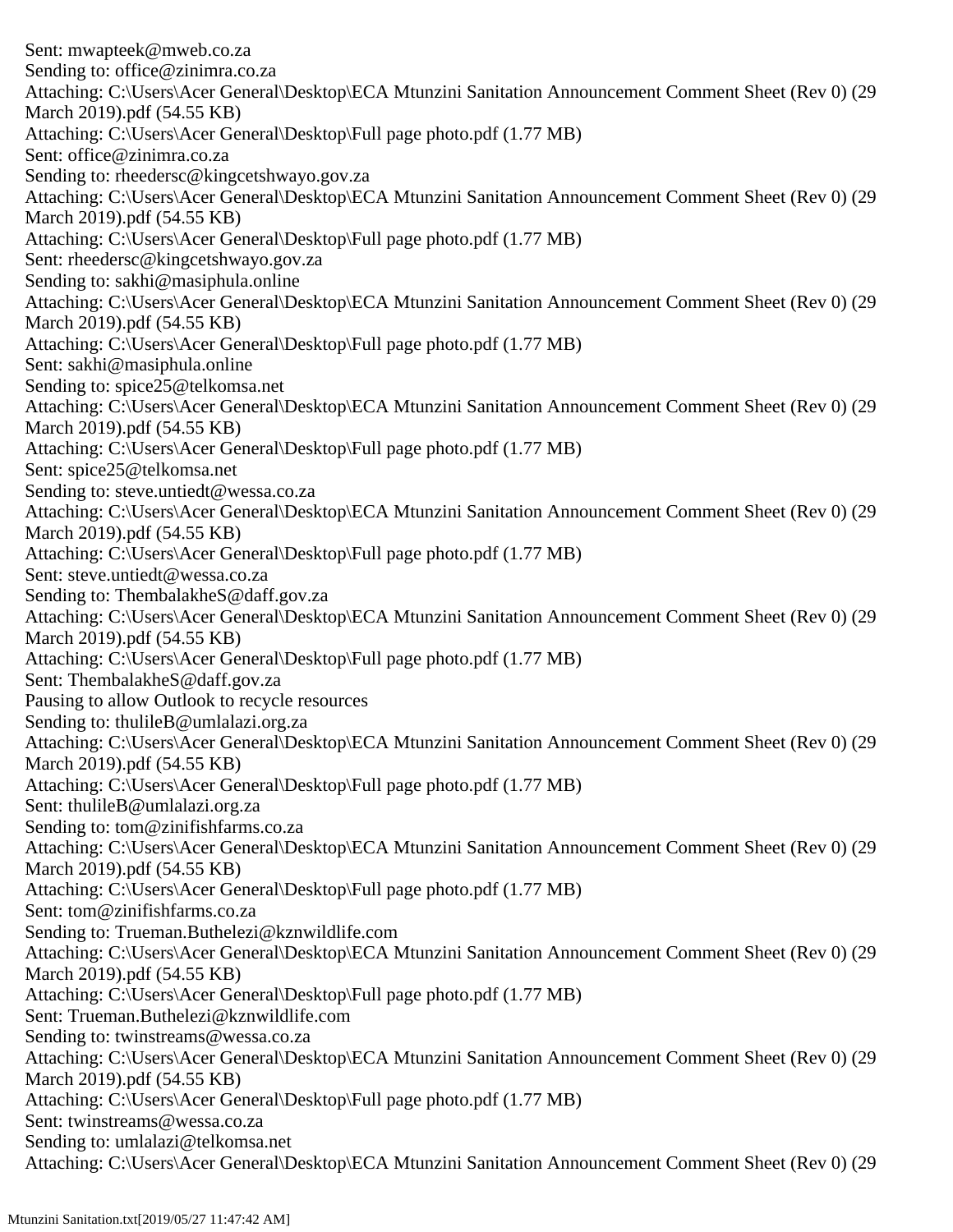Sent: mwapteek@mweb.co.za Sending to: office@zinimra.co.za Attaching: C:\Users\Acer General\Desktop\ECA Mtunzini Sanitation Announcement Comment Sheet (Rev 0) (29 March 2019).pdf (54.55 KB) Attaching: C:\Users\Acer General\Desktop\Full page photo.pdf (1.77 MB) Sent: office@zinimra.co.za Sending to: rheedersc@kingcetshwayo.gov.za Attaching: C:\Users\Acer General\Desktop\ECA Mtunzini Sanitation Announcement Comment Sheet (Rev 0) (29 March 2019).pdf (54.55 KB) Attaching: C:\Users\Acer General\Desktop\Full page photo.pdf (1.77 MB) Sent: rheedersc@kingcetshwayo.gov.za Sending to: sakhi@masiphula.online Attaching: C:\Users\Acer General\Desktop\ECA Mtunzini Sanitation Announcement Comment Sheet (Rev 0) (29 March 2019).pdf (54.55 KB) Attaching: C:\Users\Acer General\Desktop\Full page photo.pdf (1.77 MB) Sent: sakhi@masiphula.online Sending to: spice25@telkomsa.net Attaching: C:\Users\Acer General\Desktop\ECA Mtunzini Sanitation Announcement Comment Sheet (Rev 0) (29 March 2019).pdf (54.55 KB) Attaching: C:\Users\Acer General\Desktop\Full page photo.pdf (1.77 MB) Sent: spice25@telkomsa.net Sending to: steve.untiedt@wessa.co.za Attaching: C:\Users\Acer General\Desktop\ECA Mtunzini Sanitation Announcement Comment Sheet (Rev 0) (29 March 2019).pdf (54.55 KB) Attaching: C:\Users\Acer General\Desktop\Full page photo.pdf (1.77 MB) Sent: steve.untiedt@wessa.co.za Sending to: ThembalakheS@daff.gov.za Attaching: C:\Users\Acer General\Desktop\ECA Mtunzini Sanitation Announcement Comment Sheet (Rev 0) (29 March 2019).pdf (54.55 KB) Attaching: C:\Users\Acer General\Desktop\Full page photo.pdf (1.77 MB) Sent: ThembalakheS@daff.gov.za Pausing to allow Outlook to recycle resources Sending to: thulileB@umlalazi.org.za Attaching: C:\Users\Acer General\Desktop\ECA Mtunzini Sanitation Announcement Comment Sheet (Rev 0) (29 March 2019).pdf (54.55 KB) Attaching: C:\Users\Acer General\Desktop\Full page photo.pdf (1.77 MB) Sent: thulileB@umlalazi.org.za Sending to: tom@zinifishfarms.co.za Attaching: C:\Users\Acer General\Desktop\ECA Mtunzini Sanitation Announcement Comment Sheet (Rev 0) (29 March 2019).pdf (54.55 KB) Attaching: C:\Users\Acer General\Desktop\Full page photo.pdf (1.77 MB) Sent: tom@zinifishfarms.co.za Sending to: Trueman.Buthelezi@kznwildlife.com Attaching: C:\Users\Acer General\Desktop\ECA Mtunzini Sanitation Announcement Comment Sheet (Rev 0) (29 March 2019).pdf (54.55 KB) Attaching: C:\Users\Acer General\Desktop\Full page photo.pdf (1.77 MB) Sent: Trueman.Buthelezi@kznwildlife.com Sending to: twinstreams@wessa.co.za Attaching: C:\Users\Acer General\Desktop\ECA Mtunzini Sanitation Announcement Comment Sheet (Rev 0) (29 March 2019).pdf (54.55 KB) Attaching: C:\Users\Acer General\Desktop\Full page photo.pdf (1.77 MB) Sent: twinstreams@wessa.co.za Sending to: umlalazi@telkomsa.net Attaching: C:\Users\Acer General\Desktop\ECA Mtunzini Sanitation Announcement Comment Sheet (Rev 0) (29